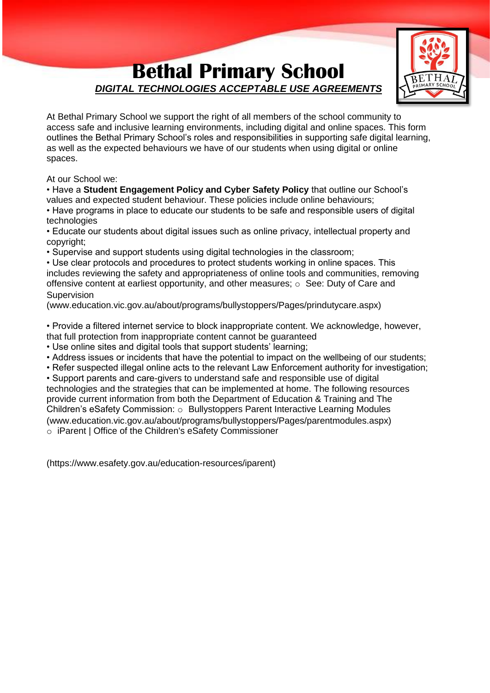## **Bethal Primary School** *DIGITAL TECHNOLOGIES ACCEPTABLE USE AGREEMENTS*



At Bethal Primary School we support the right of all members of the school community to access safe and inclusive learning environments, including digital and online spaces. This form outlines the Bethal Primary School's roles and responsibilities in supporting safe digital learning, as well as the expected behaviours we have of our students when using digital or online spaces.

At our School we:

• Have a **Student Engagement Policy and Cyber Safety Policy** that outline our School's values and expected student behaviour. These policies include online behaviours;

• Have programs in place to educate our students to be safe and responsible users of digital technologies

• Educate our students about digital issues such as online privacy, intellectual property and copyright;

• Supervise and support students using digital technologies in the classroom;

• Use clear protocols and procedures to protect students working in online spaces. This includes reviewing the safety and appropriateness of online tools and communities, removing offensive content at earliest opportunity, and other measures; o See: Duty of Care and Supervision

(www.education.vic.gov.au/about/programs/bullystoppers/Pages/prindutycare.aspx)

• Provide a filtered internet service to block inappropriate content. We acknowledge, however, that full protection from inappropriate content cannot be guaranteed

• Use online sites and digital tools that support students' learning;

• Address issues or incidents that have the potential to impact on the wellbeing of our students;

• Refer suspected illegal online acts to the relevant Law Enforcement authority for investigation;

• Support parents and care-givers to understand safe and responsible use of digital technologies and the strategies that can be implemented at home. The following resources provide current information from both the Department of Education & Training and The Children's eSafety Commission: o Bullystoppers Parent Interactive Learning Modules (www.education.vic.gov.au/about/programs/bullystoppers/Pages/parentmodules.aspx)

o iParent | Office of the Children's eSafety Commissioner

(https://www.esafety.gov.au/education-resources/iparent)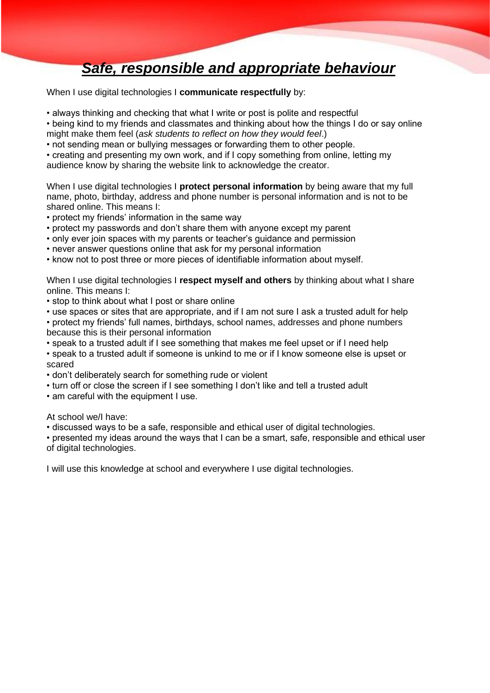## *Safe, responsible and appropriate behaviour*

When I use digital technologies I **communicate respectfully** by:

• always thinking and checking that what I write or post is polite and respectful

• being kind to my friends and classmates and thinking about how the things I do or say online might make them feel (*ask students to reflect on how they would feel*.)

• not sending mean or bullying messages or forwarding them to other people.

• creating and presenting my own work, and if I copy something from online, letting my audience know by sharing the website link to acknowledge the creator.

When I use digital technologies I **protect personal information** by being aware that my full name, photo, birthday, address and phone number is personal information and is not to be shared online. This means I:

• protect my friends' information in the same way

- protect my passwords and don't share them with anyone except my parent
- only ever join spaces with my parents or teacher's guidance and permission

• never answer questions online that ask for my personal information

• know not to post three or more pieces of identifiable information about myself.

When I use digital technologies I **respect myself and others** by thinking about what I share online. This means I:

• stop to think about what I post or share online

• use spaces or sites that are appropriate, and if I am not sure I ask a trusted adult for help

• protect my friends' full names, birthdays, school names, addresses and phone numbers because this is their personal information

• speak to a trusted adult if I see something that makes me feel upset or if I need help

• speak to a trusted adult if someone is unkind to me or if I know someone else is upset or scared

• don't deliberately search for something rude or violent

• turn off or close the screen if I see something I don't like and tell a trusted adult

• am careful with the equipment I use.

At school we/I have:

• discussed ways to be a safe, responsible and ethical user of digital technologies.

• presented my ideas around the ways that I can be a smart, safe, responsible and ethical user of digital technologies.

I will use this knowledge at school and everywhere I use digital technologies.